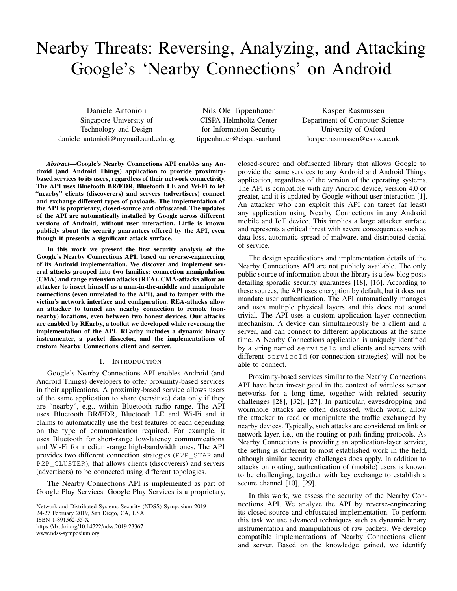# Nearby Threats: Reversing, Analyzing, and Attacking Google's 'Nearby Connections' on Android

Daniele Antonioli Singapore University of Technology and Design daniele antonioli@mymail.sutd.edu.sg

Nils Ole Tippenhauer CISPA Helmholtz Center for Information Security tippenhauer@cispa.saarland

Kasper Rasmussen Department of Computer Science University of Oxford kasper.rasmussen@cs.ox.ac.uk

*Abstract*—Google's Nearby Connections API enables any Android (and Android Things) application to provide proximitybased services to its users, regardless of their network connectivity. The API uses Bluetooth BR/EDR, Bluetooth LE and Wi-Fi to let "nearby" clients (discoverers) and servers (advertisers) connect and exchange different types of payloads. The implementation of the API is proprietary, closed-source and obfuscated. The updates of the API are automatically installed by Google across different versions of Android, without user interaction. Little is known publicly about the security guarantees offered by the API, even though it presents a significant attack surface.

In this work we present the first security analysis of the Google's Nearby Connections API, based on reverse-engineering of its Android implementation. We discover and implement several attacks grouped into two families: connection manipulation (CMA) and range extension attacks (REA). CMA-attacks allow an attacker to insert himself as a man-in-the-middle and manipulate connections (even unrelated to the API), and to tamper with the victim's network interface and configuration. REA-attacks allow an attacker to tunnel any nearby connection to remote (nonnearby) locations, even between two honest devices. Our attacks are enabled by REarby, a toolkit we developed while reversing the implementation of the API. REarby includes a dynamic binary instrumenter, a packet dissector, and the implementations of custom Nearby Connections client and server.

### I. INTRODUCTION

Google's Nearby Connections API enables Android (and Android Things) developers to offer proximity-based services in their applications. A proximity-based service allows users of the same application to share (sensitive) data only if they are "nearby", e.g., within Bluetooth radio range. The API uses Bluetooth BR/EDR, Bluetooth LE and Wi-Fi and it claims to automatically use the best features of each depending on the type of communication required. For example, it uses Bluetooth for short-range low-latency communications and Wi-Fi for medium-range high-bandwidth ones. The API provides two different connection strategies (P2P\_STAR and P2P\_CLUSTER), that allows clients (discoverers) and servers (advertisers) to be connected using different topologies.

The Nearby Connections API is implemented as part of Google Play Services. Google Play Services is a proprietary,

Network and Distributed Systems Security (NDSS) Symposium 2019 24-27 February 2019, San Diego, CA, USA ISBN 1-891562-55-X https://dx.doi.org/10.14722/ndss.2019.23367 www.ndss-symposium.org

closed-source and obfuscated library that allows Google to provide the same services to any Android and Android Things application, regardless of the version of the operating systems. The API is compatible with any Android device, version 4.0 or greater, and it is updated by Google without user interaction [1]. An attacker who can exploit this API can target (at least) any application using Nearby Connections in any Android mobile and IoT device. This implies a large attacker surface and represents a critical threat with severe consequences such as data loss, automatic spread of malware, and distributed denial of service.

The design specifications and implementation details of the Nearby Connections API are not publicly available. The only public source of information about the library is a few blog posts detailing sporadic security guarantees [18], [16]. According to these sources, the API uses encryption by default, but it does not mandate user authentication. The API automatically manages and uses multiple physical layers and this does not sound trivial. The API uses a custom application layer connection mechanism. A device can simultaneously be a client and a server, and can connect to different applications at the same time. A Nearby Connections application is uniquely identified by a string named serviceId and clients and servers with different serviceId (or connection strategies) will not be able to connect.

Proximity-based services similar to the Nearby Connections API have been investigated in the context of wireless sensor networks for a long time, together with related security challenges [28], [32], [27]. In particular, eavesdropping and wormhole attacks are often discussed, which would allow the attacker to read or manipulate the traffic exchanged by nearby devices. Typically, such attacks are considered on link or network layer, i.e., on the routing or path finding protocols. As Nearby Connections is providing an application-layer service, the setting is different to most established work in the field, although similar security challenges does apply. In addition to attacks on routing, authentication of (mobile) users is known to be challenging, together with key exchange to establish a secure channel [10], [29].

In this work, we assess the security of the Nearby Connections API. We analyze the API by reverse-engineering its closed-source and obfuscated implementation. To perform this task we use advanced techniques such as dynamic binary instrumentation and manipulations of raw packets. We develop compatible implementations of Nearby Connections client and server. Based on the knowledge gained, we identify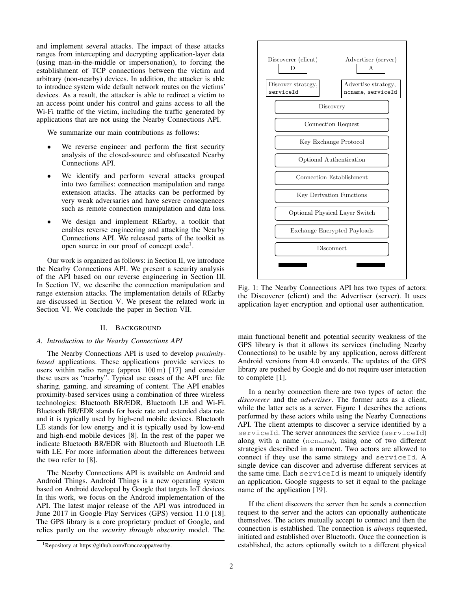and implement several attacks. The impact of these attacks ranges from intercepting and decrypting application-layer data (using man-in-the-middle or impersonation), to forcing the establishment of TCP connections between the victim and arbitrary (non-nearby) devices. In addition, the attacker is able to introduce system wide default network routes on the victims' devices. As a result, the attacker is able to redirect a victim to an access point under his control and gains access to all the Wi-Fi traffic of the victim, including the traffic generated by applications that are not using the Nearby Connections API.

We summarize our main contributions as follows:

- We reverse engineer and perform the first security analysis of the closed-source and obfuscated Nearby Connections API.
- We identify and perform several attacks grouped into two families: connection manipulation and range extension attacks. The attacks can be performed by very weak adversaries and have severe consequences such as remote connection manipulation and data loss.
- We design and implement REarby, a toolkit that enables reverse engineering and attacking the Nearby Connections API. We released parts of the toolkit as open source in our proof of concept code<sup>1</sup>.

Our work is organized as follows: in Section II, we introduce the Nearby Connections API. We present a security analysis of the API based on our reverse engineering in Section III. In Section IV, we describe the connection manipulation and range extension attacks. The implementation details of REarby are discussed in Section V. We present the related work in Section VI. We conclude the paper in Section VII.

#### II. BACKGROUND

### *A. Introduction to the Nearby Connections API*

The Nearby Connections API is used to develop *proximitybased* applications. These applications provide services to users within radio range (approx  $100 \text{ m}$ ) [17] and consider these users as "nearby". Typical use cases of the API are: file sharing, gaming, and streaming of content. The API enables proximity-based services using a combination of three wireless technologies: Bluetooth BR/EDR, Bluetooth LE and Wi-Fi. Bluetooth BR/EDR stands for basic rate and extended data rate and it is typically used by high-end mobile devices. Bluetooth LE stands for low energy and it is typically used by low-end and high-end mobile devices [8]. In the rest of the paper we indicate Bluetooth BR/EDR with Bluetooth and Bluetooth LE with LE. For more information about the differences between the two refer to [8].

The Nearby Connections API is available on Android and Android Things. Android Things is a new operating system based on Android developed by Google that targets IoT devices. In this work, we focus on the Android implementation of the API. The latest major release of the API was introduced in June 2017 in Google Play Services (GPS) version 11.0 [18]. The GPS library is a core proprietary product of Google, and relies partly on the *security through obscurity* model. The





Fig. 1: The Nearby Connections API has two types of actors: the Discoverer (client) and the Advertiser (server). It uses application layer encryption and optional user authentication.

main functional benefit and potential security weakness of the GPS library is that it allows its services (including Nearby Connections) to be usable by any application, across different Android versions from 4.0 onwards. The updates of the GPS library are pushed by Google and do not require user interaction to complete [1].

In a nearby connection there are two types of actor: the *discoverer* and the *advertiser*. The former acts as a client, while the latter acts as a server. Figure 1 describes the actions performed by these actors while using the Nearby Connections API. The client attempts to discover a service identified by a serviceId. The server announces the service (serviceId) along with a name (ncname), using one of two different strategies described in a moment. Two actors are allowed to connect if they use the same strategy and serviceId. A single device can discover and advertise different services at the same time. Each serviceId is meant to uniquely identify an application. Google suggests to set it equal to the package name of the application [19].

If the client discovers the server then he sends a connection request to the server and the actors can optionally authenticate themselves. The actors mutually accept to connect and then the connection is established. The connection is *always* requested, initiated and established over Bluetooth. Once the connection is established, the actors optionally switch to a different physical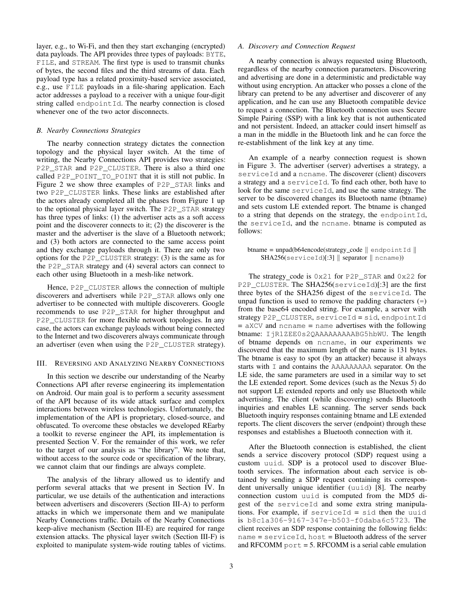layer, e.g., to Wi-Fi, and then they start exchanging (encrypted) data payloads. The API provides three types of payloads: BYTE, FILE, and STREAM. The first type is used to transmit chunks of bytes, the second files and the third streams of data. Each payload type has a related proximity-based service associated, e.g., use FILE payloads in a file-sharing application. Each actor addresses a payload to a receiver with a unique four-digit string called endpoint Id. The nearby connection is closed whenever one of the two actor disconnects.

### *B. Nearby Connections Strategies*

The nearby connection strategy dictates the connection topology and the physical layer switch. At the time of writing, the Nearby Connections API provides two strategies: P2P\_STAR and P2P\_CLUSTER. There is also a third one called P2P\_POINT\_TO\_POINT that it is still not public. In Figure 2 we show three examples of P2P\_STAR links and two P2P\_CLUSTER links. These links are established after the actors already completed all the phases from Figure 1 up to the optional physical layer switch. The P2P\_STAR strategy has three types of links: (1) the advertiser acts as a soft access point and the discoverer connects to it; (2) the discoverer is the master and the advertiser is the slave of a Bluetooth network; and (3) both actors are connected to the same access point and they exchange payloads through it. There are only two options for the P2P\_CLUSTER strategy: (3) is the same as for the P2P\_STAR strategy and (4) several actors can connect to each other using Bluetooth in a mesh-like network.

Hence, P2P\_CLUSTER allows the connection of multiple discoverers and advertisers while P2P\_STAR allows only one advertiser to be connected with multiple discoverers. Google recommends to use P2P\_STAR for higher throughput and P2P\_CLUSTER for more flexible network topologies. In any case, the actors can exchange payloads without being connected to the Internet and two discoverers always communicate through an advertiser (even when using the P2P\_CLUSTER strategy).

#### III. REVERSING AND ANALYZING NEARBY CONNECTIONS

In this section we describe our understanding of the Nearby Connections API after reverse engineering its implementation on Android. Our main goal is to perform a security assessment of the API because of its wide attack surface and complex interactions between wireless technologies. Unfortunately, the implementation of the API is proprietary, closed-source, and obfuscated. To overcome these obstacles we developed REarby a toolkit to reverse engineer the API, its implementation is presented Section V. For the remainder of this work, we refer to the target of our analysis as "the library". We note that, without access to the source code or specification of the library, we cannot claim that our findings are always complete.

The analysis of the library allowed us to identify and perform several attacks that we present in Section IV. In particular, we use details of the authentication and interactions between advertisers and discoverers (Section III-A) to perform attacks in which we impersonate them and we manipulate Nearby Connections traffic. Details of the Nearby Connections keep-alive mechanism (Section III-E) are required for range extension attacks. The physical layer switch (Section III-F) is exploited to manipulate system-wide routing tables of victims.

#### *A. Discovery and Connection Request*

A nearby connection is always requested using Bluetooth, regardless of the nearby connection parameters. Discovering and advertising are done in a deterministic and predictable way without using encryption. An attacker who posses a clone of the library can pretend to be any advertiser and discoverer of any application, and he can use any Bluetooth compatible device to request a connection. The Bluetooth connection uses Secure Simple Pairing (SSP) with a link key that is not authenticated and not persistent. Indeed, an attacker could insert himself as a man in the middle in the Bluetooth link and he can force the re-establishment of the link key at any time.

An example of a nearby connection request is shown in Figure 3. The advertiser (server) advertises a strategy, a serviceId and a ncname. The discoverer (client) discovers a strategy and a serviceId. To find each other, both have to look for the same serviceId, and use the same strategy. The server to be discovered changes its Bluetooth name (btname) and sets custom LE extended report. The btname is changed to a string that depends on the strategy, the endpointId, the serviceId, and the ncname. btname is computed as follows:

# btname = unpad(b64encode(strategy\_code  $\parallel$  endpointId  $\parallel$  $SHA256$ (serviceId)[:3]  $\parallel$  separator  $\parallel$  ncname))

The strategy\_code is  $0x21$  for P2P\_STAR and  $0x22$  for P2P CLUSTER. The SHA256(serviceId)[:3] are the first three bytes of the SHA256 digest of the serviceId. The unpad function is used to remove the padding characters  $(=)$ from the base64 encoded string. For example, a server with strategy P2P\_CLUSTER, serviceId = sid, endpointId  $=$  aXCV and ncname  $=$  name advertises with the following btname: IjR1ZEE0s2QAAAAAAAAABG5hbWU. The length of btname depends on ncname, in our experiments we discovered that the maximum length of the name is 131 bytes. The btname is easy to spot (by an attacker) because it always starts with I and contains the AAAAAAAAA separator. On the LE side, the same parameters are used in a similar way to set the LE extended report. Some devices (such as the Nexus 5) do not support LE extended reports and only use Bluetooth while advertising. The client (while discovering) sends Bluetooth inquiries and enables LE scanning. The server sends back Bluetooth inquiry responses containing btname and LE extended reports. The client discovers the server (endpoint) through these responses and establishes a Bluetooth connection with it.

After the Bluetooth connection is established, the client sends a service discovery protocol (SDP) request using a custom uuid. SDP is a protocol used to discover Bluetooth services. The information about each service is obtained by sending a SDP request containing its correspondent universally unique identifier (uuid) [8]. The nearby connection custom uuid is computed from the MD5 digest of the serviceId and some extra string manipulations. For example, if serviceId = sid then the uuid is b8c1a306-9167-347e-b503-f0daba6c5723. The client receives an SDP response containing the following fields:  $name = serviceId, host = Bluetooth address of the server$ and RFCOMM  $port = 5$ . RFCOMM is a serial cable emulation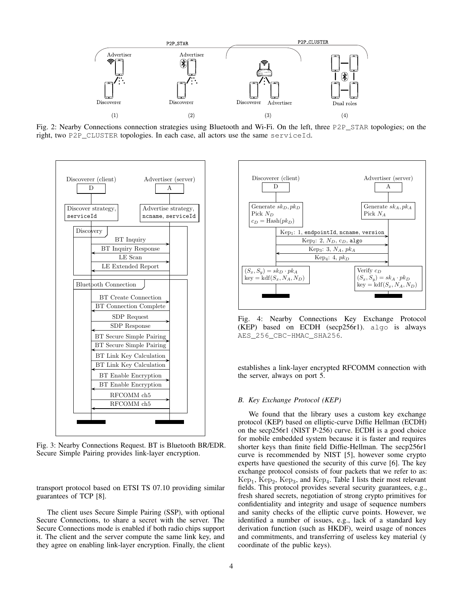

Fig. 2: Nearby Connections connection strategies using Bluetooth and Wi-Fi. On the left, three P2P\_STAR topologies; on the right, two P2P\_CLUSTER topologies. In each case, all actors use the same serviceId.



Fig. 3: Nearby Connections Request. BT is Bluetooth BR/EDR. Secure Simple Pairing provides link-layer encryption.

transport protocol based on ETSI TS 07.10 providing similar guarantees of TCP [8].

The client uses Secure Simple Pairing (SSP), with optional Secure Connections, to share a secret with the server. The Secure Connections mode is enabled if both radio chips support it. The client and the server compute the same link key, and they agree on enabling link-layer encryption. Finally, the client



Fig. 4: Nearby Connections Key Exchange Protocol (KEP) based on ECDH (secp256r1). algo is always AES\_256\_CBC-HMAC\_SHA256.

establishes a link-layer encrypted RFCOMM connection with the server, always on port 5.

#### *B. Key Exchange Protocol (KEP)*

We found that the library uses a custom key exchange protocol (KEP) based on elliptic-curve Diffie Hellman (ECDH) on the secp256r1 (NIST P-256) curve. ECDH is a good choice for mobile embedded system because it is faster and requires shorter keys than finite field Diffie-Hellman. The secp256r1 curve is recommended by NIST [5], however some crypto experts have questioned the security of this curve [6]. The key exchange protocol consists of four packets that we refer to as:  $\text{Kep}_1, \text{Kep}_2, \text{Kep}_3,$  and  $\text{Kep}_4$ . Table I lists their most relevant fields. This protocol provides several security guarantees, e.g., fresh shared secrets, negotiation of strong crypto primitives for confidentiality and integrity and usage of sequence numbers and sanity checks of the elliptic curve points. However, we identified a number of issues, e.g., lack of a standard key derivation function (such as HKDF), weird usage of nonces and commitments, and transferring of useless key material (y coordinate of the public keys).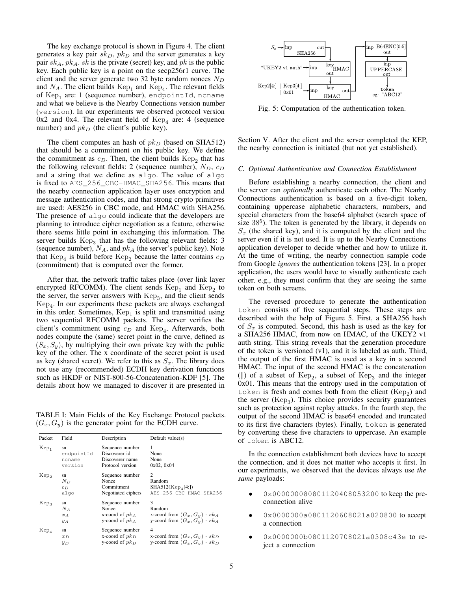The key exchange protocol is shown in Figure 4. The client generates a key pair  $sk_D$ ,  $pk_D$  and the server generates a key pair  $sk_A$ ,  $pk_A$ .  $sk$  is the private (secret) key, and  $pk$  is the public key. Each public key is a point on the secp256r1 curve. The client and the server generate two 32 byte random nonces  $N_D$ and  $N_A$ . The client builds  $\text{Kep}_1$  and  $\text{Kep}_4$ . The relevant fields of  $\mathrm{Kep}_1$  are: 1 (sequence number), endpointId, ncname and what we believe is the Nearby Connections version number (version). In our experiments we observed protocol version  $0x2$  and  $0x4$ . The relevant field of  $Kep<sub>4</sub>$  are: 4 (sequence number) and  $pk_D$  (the client's public key).

The client computes an hash of  $pk_D$  (based on SHA512) that should be a commitment on his public key. We define the commitment as  $c_D$ . Then, the client builds  $\text{Kep}_2$  that has the following relevant fields: 2 (sequence number),  $N_D$ ,  $c_D$ and a string that we define as algo. The value of algo is fixed to AES\_256\_CBC-HMAC\_SHA256. This means that the nearby connection application layer uses encryption and message authentication codes, and that strong crypto primitives are used: AES256 in CBC mode, and HMAC with SHA256. The presence of algo could indicate that the developers are planning to introduce cipher negotiation as a feature, otherwise there seems little point in exchanging this information. The server builds  $\text{Kep}_3$  that has the following relevant fields: 3 (sequence number),  $N_A$ , and  $pk_A$  (the server's public key). Note that  $\text{Kep}_4$  is build before  $\text{Kep}_2$  because the latter contains  $c_D$ (commitment) that is computed over the former.

After that, the network traffic takes place (over link layer encrypted RFCOMM). The client sends  $\text{Kep}_1$  and  $\text{Kep}_2$  to the server, the server answers with  $\text{Kep}_3$ , and the client sends Kep<sup>4</sup> . In our experiments these packets are always exchanged in this order. Sometimes,  $\text{Kep}_1$  is split and transmitted using two sequential RFCOMM packets. The server verifies the client's commitment using  $c_D$  and Kep<sub>4</sub>. Afterwards, both nodes compute the (same) secret point in the curve, defined as  $(S_x, S_y)$ , by multiplying their own private key with the public key of the other. The x coordinate of the secret point is used as key (shared secret). We refer to this as  $S_x$ . The library does not use any (recommended) ECDH key derivation functions such as HKDF or NIST-800-56-Concatenation-KDF [5]. The details about how we managed to discover it are presented in

TABLE I: Main Fields of the Key Exchange Protocol packets.  $(G_x, G_y)$  is the generator point for the ECDH curve.

| Packet           | Field      | Description        | Default value $(s)$                  |
|------------------|------------|--------------------|--------------------------------------|
| Kep <sub>1</sub> | sn         | Sequence number    | 1                                    |
|                  | endpointId | Discoverer id      | None                                 |
|                  | ncname     | Discoverer name    | None                                 |
|                  | version    | Protocol version   | 0x02, 0x04                           |
| Kep <sub>2</sub> | sn         | Sequence number    | $\overline{c}$                       |
|                  | $N_D$      | Nonce              | Random                               |
|                  | $c_D$      | Commitment         | $SHA512(Kep_4[4:])$                  |
|                  | algo       | Negotiated ciphers | AES 256 CBC-HMAC SHA256              |
| $\rm Kep_3$      | sn         | Sequence number    | 3                                    |
|                  | $N_A$      | Nonce              | Random                               |
|                  | $x_A$      | x-coord of $pk_A$  | x-coord from $(G_x, G_y) \cdot sk_A$ |
|                  | $y_A$      | y-coord of $pk_A$  | y-coord from $(G_x, G_y) \cdot sk_A$ |
| $Kep_4$          | sn         | Sequence number    | 4                                    |
|                  | $x_D$      | x-coord of $pk_D$  | x-coord from $(G_x, G_y) \cdot sk_D$ |
|                  | $y_D$      | y-coord of $pk_D$  | y-coord from $(G_x, G_y) \cdot sk_D$ |



Fig. 5: Computation of the authentication token.

Section V. After the client and the server completed the KEP, the nearby connection is initiated (but not yet established).

#### *C. Optional Authentication and Connection Establishment*

Before establishing a nearby connection, the client and the server can *optionally* authenticate each other. The Nearby Connections authentication is based on a five-digit token, containing uppercase alphabetic characters, numbers, and special characters from the base64 alphabet (search space of size  $38<sup>5</sup>$ ). The token is generated by the library, it depends on  $S_x$  (the shared key), and it is computed by the client and the server even if it is not used. It is up to the Nearby Connections application developer to decide whether and how to utilize it. At the time of writing, the nearby connection sample code from Google *ignores* the authentication tokens [23]. In a proper application, the users would have to visually authenticate each other, e.g., they must confirm that they are seeing the same token on both screens.

The reversed procedure to generate the authentication token consists of five sequential steps. These steps are described with the help of Figure 5. First, a SHA256 hash of  $S_x$  is computed. Second, this hash is used as the key for a SHA256 HMAC, from now on HMAC, of the UKEY2 v1 auth string. This string reveals that the generation procedure of the token is versioned (v1), and it is labeled as auth. Third, the output of the first HMAC is used as a key in a second HMAC. The input of the second HMAC is the concatenation ( $\parallel$ ) of a subset of Kep<sub>2</sub>, a subset of Kep<sub>3</sub> and the integer 0x01. This means that the entropy used in the computation of token is fresh and comes both from the client  $(\mathrm{Kep}_2)$  and the server  $(Kep_3)$ . This choice provides security guarantees such as protection against replay attacks. In the fourth step, the output of the second HMAC is base64 encoded and truncated to its first five characters (bytes). Finally, token is generated by converting these five characters to uppercase. An example of token is ABC12.

In the connection establishment both devices have to accept the connection, and it does not matter who accepts it first. In our experiments, we observed that the devices always use *the same* payloads:

- 0x000000080801120408053200 to keep the preconnection alive
- 0x0000000a0801120608021a020800 to accept a connection
- 0x0000000b0801120708021a0308c43e to reject a connection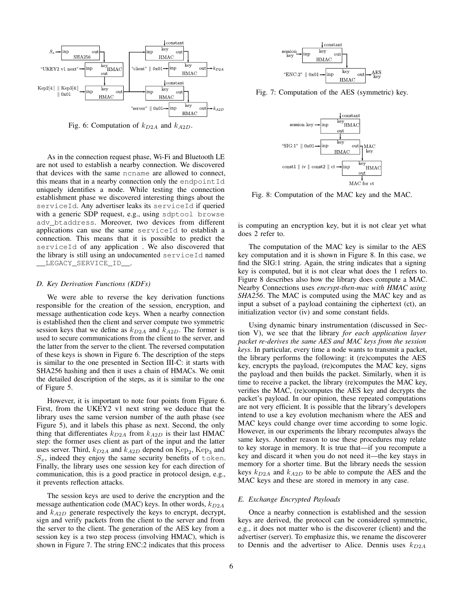

Fig. 6: Computation of  $k_{D2A}$  and  $k_{A2D}$ .

As in the connection request phase, Wi-Fi and Bluetooth LE are not used to establish a nearby connection. We discovered that devices with the same ncname are allowed to connect, this means that in a nearby connection only the endpoint  $Id$ uniquely identifies a node. While testing the connection establishment phase we discovered interesting things about the serviceId. Any advertiser leaks its serviceId if queried with a generic SDP request, e.g., using sdptool browse adv\_btaddress. Moreover, two devices from different applications can use the same serviceId to establish a connection. This means that it is possible to predict the serviceId of any application . We also discovered that the library is still using an undocumented serviceId named \_\_LEGACY\_SERVICE\_ID\_\_.

#### *D. Key Derivation Functions (KDFs)*

We were able to reverse the key derivation functions responsible for the creation of the session, encryption, and message authentication code keys. When a nearby connection is established then the client and server compute two symmetric session keys that we define as  $k_{D2A}$  and  $k_{A2D}$ . The former is used to secure communications from the client to the server, and the latter from the server to the client. The reversed computation of these keys is shown in Figure 6. The description of the steps is similar to the one presented in Section III-C: it starts with SHA256 hashing and then it uses a chain of HMACs. We omit the detailed description of the steps, as it is similar to the one of Figure 5.

However, it is important to note four points from Figure 6. First, from the UKEY2 v1 next string we deduce that the library uses the same version number of the auth phase (see Figure 5), and it labels this phase as next. Second, the only thing that differentiates  $k_{D2A}$  from  $k_{A2D}$  is their last HMAC step: the former uses client as part of the input and the latter uses server. Third,  $k_{D2A}$  and  $k_{A2D}$  depend on  $\text{Kep}_2$ ,  $\text{Kep}_3$  and  $S_x$ , indeed they enjoy the same security benefits of token. Finally, the library uses one session key for each direction of communication, this is a good practice in protocol design, e.g., it prevents reflection attacks.

The session keys are used to derive the encryption and the message authentication code (MAC) keys. In other words,  $k_{D2A}$ and  $k_{A2D}$  generate respectively the keys to encrypt, decrypt, sign and verify packets from the client to the server and from the server to the client. The generation of the AES key from a session key is a two step process (involving HMAC), which is shown in Figure 7. The string ENC:2 indicates that this process



Fig. 7: Computation of the AES (symmetric) key.



Fig. 8: Computation of the MAC key and the MAC.

is computing an encryption key, but it is not clear yet what does 2 refer to.

The computation of the MAC key is similar to the AES key computation and it is shown in Figure 8. In this case, we find the SIG:1 string. Again, the string indicates that a signing key is computed, but it is not clear what does the 1 refers to. Figure 8 describes also how the library does compute a MAC. Nearby Connections uses *encrypt-then-mac with HMAC using SHA256*. The MAC is computed using the MAC key and as input a subset of a payload containing the ciphertext (ct), an initialization vector (iv) and some constant fields.

Using dynamic binary instrumentation (discussed in Section V), we see that the library *for each application layer packet re-derives the same AES and MAC keys from the session keys*. In particular, every time a node wants to transmit a packet, the library performs the following: it (re)computes the AES key, encrypts the payload, (re)computes the MAC key, signs the payload and then builds the packet. Similarly, when it is time to receive a packet, the library (re)computes the MAC key, verifies the MAC, (re)computes the AES key and decrypts the packet's payload. In our opinion, these repeated computations are not very efficient. It is possible that the library's developers intend to use a key evolution mechanism where the AES and MAC keys could change over time according to some logic. However, in our experiments the library recomputes always the same keys. Another reason to use these procedures may relate to key storage in memory. It is true that—if you recompute a key and discard it when you do not need it—the key stays in memory for a shorter time. But the library needs the session keys  $k_{D2A}$  and  $k_{A2D}$  to be able to compute the AES and the MAC keys and these are stored in memory in any case.

#### *E. Exchange Encrypted Payloads*

Once a nearby connection is established and the session keys are derived, the protocol can be considered symmetric, e.g., it does not matter who is the discoverer (client) and the advertiser (server). To emphasize this, we rename the discoverer to Dennis and the advertiser to Alice. Dennis uses  $k_{D2A}$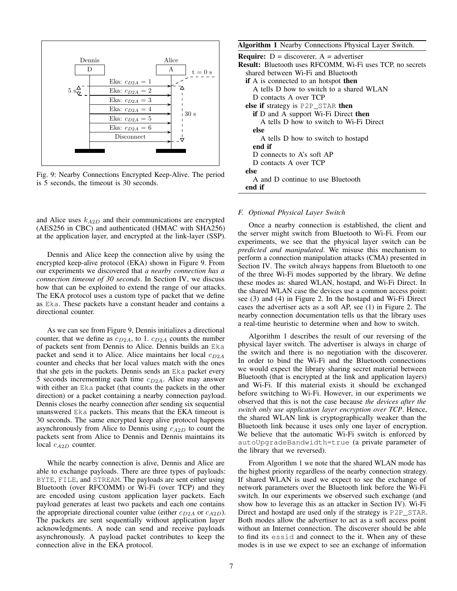

Fig. 9: Nearby Connections Encrypted Keep-Alive. The period is 5 seconds, the timeout is 30 seconds.

and Alice uses  $k_{A2D}$  and their communications are encrypted (AES256 in CBC) and authenticated (HMAC with SHA256) at the application layer, and encrypted at the link-layer (SSP).

Dennis and Alice keep the connection alive by using the encrypted keep-alive protocol (EKA) shown in Figure 9. From our experiments we discovered that *a nearby connection has a connection timeout of 30 seconds*. In Section IV, we discuss how that can be exploited to extend the range of our attacks. The EKA protocol uses a custom type of packet that we define as Eka. These packets have a constant header and contains a directional counter.

As we can see from Figure 9, Dennis initializes a directional counter, that we define as  $c_{D2A}$ , to 1.  $c_{D2A}$  counts the number of packets sent from Dennis to Alice. Dennis builds an Eka packet and send it to Alice. Alice maintains her local  $c_{D2A}$ counter and checks that her local values match with the ones that she gets in the packets. Dennis sends an Eka packet every 5 seconds incrementing each time  $c_{D2A}$ . Alice may answer with either an Eka packet (that counts the packets in the other direction) or a packet containing a nearby connection payload. Dennis closes the nearby connection after sending six sequential unanswered Eka packets. This means that the EKA timeout is 30 seconds. The same encrypted keep alive protocol happens asynchronously from Alice to Dennis using  $c_{A2D}$  to count the packets sent from Alice to Dennis and Dennis maintains its local  $c_{A2D}$  counter.

While the nearby connection is alive, Dennis and Alice are able to exchange payloads. There are three types of payloads: BYTE, FILE, and STREAM. The payloads are sent either using Bluetooth (over RFCOMM) or Wi-Fi (over TCP) and they are encoded using custom application layer packets. Each payload generates at least two packets and each one contains the appropriate directional counter value (either  $c_{D2A}$  or  $c_{A2D}$ ). The packets are sent sequentially without application layer acknowledgments. A node can send and receive payloads asynchronously. A payload packet contributes to keep the connection alive in the EKA protocol.

#### Algorithm 1 Nearby Connections Physical Layer Switch.

| <b>Require:</b> $D =$ discoverer, $A =$ advertiser               |
|------------------------------------------------------------------|
| <b>Result:</b> Bluetooth uses RFCOMM, Wi-Fi uses TCP, no secrets |
| shared between Wi-Fi and Bluetooth                               |
| <b>if</b> A is connected to an hotspot <b>then</b>               |
| A tells D how to switch to a shared WLAN                         |
| D contacts A over TCP                                            |
| <b>else if</b> strategy is $P2P$ _STAR <b>then</b>               |
| <b>if</b> D and A support Wi-Fi Direct <b>then</b>               |
| A tells D how to switch to Wi-Fi Direct                          |
| else                                                             |
| A tells D how to switch to hostapd                               |
| end if                                                           |
| D connects to A's soft AP                                        |
| D contacts A over TCP                                            |
| else                                                             |
| A and D continue to use Bluetooth                                |
| end if                                                           |
|                                                                  |

#### *F. Optional Physical Layer Switch*

Once a nearby connection is established, the client and the server might switch from Bluetooth to Wi-Fi. From our experiments, we see that the physical layer switch can be *predicted and manipulated*. We misuse this mechanism to perform a connection manipulation attacks (CMA) presented in Section IV. The switch always happens from Bluetooth to one of the three Wi-Fi modes supported by the library. We define these modes as: shared WLAN, hostapd, and Wi-Fi Direct. In the shared WLAN case the devices use a common access point: see (3) and (4) in Figure 2. In the hostapd and Wi-Fi Direct cases the advertiser acts as a soft AP, see (1) in Figure 2. The nearby connection documentation tells us that the library uses a real-time heuristic to determine when and how to switch.

Algorithm 1 describes the result of our reversing of the physical layer switch. The advertiser is always in charge of the switch and there is no negotiation with the discoverer. In order to bind the Wi-Fi and the Bluetooth connections we would expect the library sharing secret material between Bluetooth (that is encrypted at the link and application layers) and Wi-Fi. If this material exists it should be exchanged before switching to Wi-Fi. However, in our experiments we observed that this is not the case because *the devices after the switch only use application layer encryption over TCP*. Hence, the shared WLAN link is cryptographically weaker than the Bluetooth link because it uses only one layer of encryption. We believe that the automatic Wi-Fi switch is enforced by autoUpgradeBandwidth=true (a private parameter of the library that we reversed).

From Algorithm 1 we note that the shared WLAN mode has the highest priority regardless of the nearby connection strategy. If shared WLAN is used we expect to see the exchange of network parameters over the Bluetooth link before the Wi-Fi switch. In our experiments we observed such exchange (and show how to leverage this as an attacker in Section IV). Wi-Fi Direct and hostapd are used only if the strategy is P2P\_STAR. Both modes allow the advertiser to act as a soft access point without an Internet connection. The discoverer should be able to find its essid and connect to the it. When any of these modes is in use we expect to see an exchange of information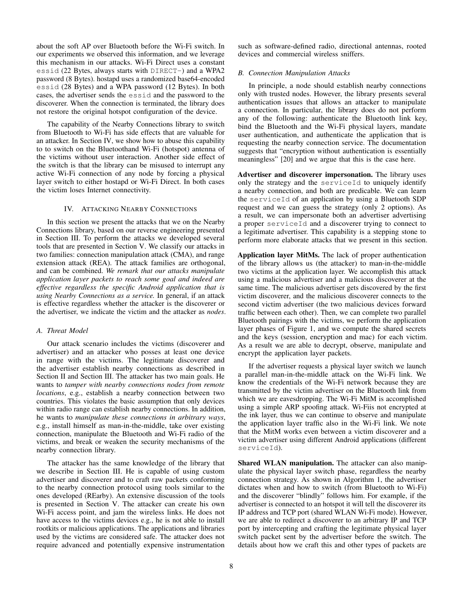about the soft AP over Bluetooth before the Wi-Fi switch. In our experiments we observed this information, and we leverage this mechanism in our attacks. Wi-Fi Direct uses a constant essid (22 Bytes, always starts with DIRECT-) and a WPA2 password (8 Bytes). hostapd uses a randomized base64-encoded essid (28 Bytes) and a WPA password (12 Bytes). In both cases, the advertiser sends the essid and the password to the discoverer. When the connection is terminated, the library does not restore the original hotspot configuration of the device.

The capability of the Nearby Connections library to switch from Bluetooth to Wi-Fi has side effects that are valuable for an attacker. In Section IV, we show how to abuse this capability to to switch on the Bluetoothand Wi-Fi (hotspot) antenna of the victims without user interaction. Another side effect of the switch is that the library can be misused to interrupt any active Wi-Fi connection of any node by forcing a physical layer switch to either hostapd or Wi-Fi Direct. In both cases the victim loses Internet connectivity.

#### IV. ATTACKING NEARBY CONNECTIONS

In this section we present the attacks that we on the Nearby Connections library, based on our reverse engineering presented in Section III. To perform the attacks we developed several tools that are presented in Section V. We classify our attacks in two families: connection manipulation attack (CMA), and range extension attack (REA). The attack families are orthogonal, and can be combined. *We remark that our attacks manipulate application layer packets to reach some goal and indeed are effective regardless the specific Android application that is using Nearby Connections as a service.* In general, if an attack is effective regardless whether the attacker is the discoverer or the advertiser, we indicate the victim and the attacker as *nodes*.

#### *A. Threat Model*

Our attack scenario includes the victims (discoverer and advertiser) and an attacker who posses at least one device in range with the victims. The legitimate discoverer and the advertiser establish nearby connections as described in Section II and Section III. The attacker has two main goals. He wants to *tamper with nearby connections nodes from remote locations*, e.g., establish a nearby connection between two countries. This violates the basic assumption that only devices within radio range can establish nearby connections. In addition, he wants to *manipulate these connections in arbitrary ways*, e.g., install himself as man-in-the-middle, take over existing connection, manipulate the Bluetooth and Wi-Fi radio of the victims, and break or weaken the security mechanisms of the nearby connection library.

The attacker has the same knowledge of the library that we describe in Section III. He is capable of using custom advertiser and discoverer and to craft raw packets conforming to the nearby connection protocol using tools similar to the ones developed (REarby). An extensive discussion of the tools is presented in Section V. The attacker can create his own Wi-Fi access point, and jam the wireless links. He does not have access to the victims devices e.g., he is not able to install rootkits or malicious applications. The applications and libraries used by the victims are considered safe. The attacker does not require advanced and potentially expensive instrumentation such as software-defined radio, directional antennas, rooted devices and commercial wireless sniffers.

#### *B. Connection Manipulation Attacks*

In principle, a node should establish nearby connections only with trusted nodes. However, the library presents several authentication issues that allows an attacker to manipulate a connection. In particular, the library does do not perform any of the following: authenticate the Bluetooth link key, bind the Bluetooth and the Wi-Fi physical layers, mandate user authentication, and authenticate the application that is requesting the nearby connection service. The documentation suggests that "encryption without authentication is essentially meaningless" [20] and we argue that this is the case here.

Advertiser and discoverer impersonation. The library uses only the strategy and the serviceId to uniquely identify a nearby connection, and both are predicable. We can learn the serviceId of an application by using a Bluetooth SDP request and we can guess the strategy (only 2 options). As a result, we can impersonate both an advertiser advertising a proper serviceId and a discoverer trying to connect to a legitimate advertiser. This capability is a stepping stone to perform more elaborate attacks that we present in this section.

Application layer MitMs. The lack of proper authentication of the library allows us (the attacker) to man-in-the-middle two victims at the application layer. We accomplish this attack using a malicious advertiser and a malicious discoverer at the same time. The malicious advertiser gets discovered by the first victim discoverer, and the malicious discoverer connects to the second victim advertiser (the two malicious devices forward traffic between each other). Then, we can complete two parallel Bluetooth pairings with the victims, we perform the application layer phases of Figure 1, and we compute the shared secrets and the keys (session, encryption and mac) for each victim. As a result we are able to decrypt, observe, manipulate and encrypt the application layer packets.

If the advertiser requests a physical layer switch we launch a parallel man-in-the-middle attack on the Wi-Fi link. We know the credentials of the Wi-Fi network because they are transmitted by the victim advertiser on the Bluetooth link from which we are eavesdropping. The Wi-Fi MitM is accomplished using a simple ARP spoofing attack. Wi-Fiis not encrypted at the ink layer, thus we can continue to observe and manipulate the application layer traffic also in the Wi-Fi link. We note that the MitM works even between a victim discoverer and a victim advertiser using different Android applications (different serviceId).

Shared WLAN manipulation. The attacker can also manipulate the physical layer switch phase, regardless the nearby connection strategy. As shown in Algorithm 1, the advertiser dictates when and how to switch (from Bluetooth to Wi-Fi) and the discoverer "blindly" follows him. For example, if the advertiser is connected to an hotspot it will tell the discoverer its IP address and TCP port (shared WLAN Wi-Fi mode). However, we are able to redirect a discoverer to an arbitrary IP and TCP port by intercepting and crafting the legitimate physical layer switch packet sent by the advertiser before the switch. The details about how we craft this and other types of packets are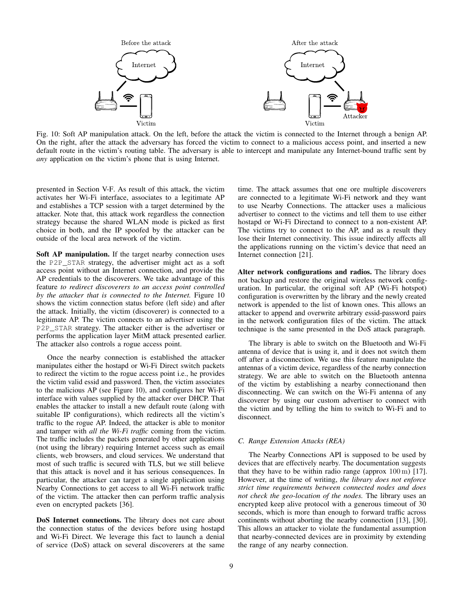

Fig. 10: Soft AP manipulation attack. On the left, before the attack the victim is connected to the Internet through a benign AP. On the right, after the attack the adversary has forced the victim to connect to a malicious access point, and inserted a new default route in the victim's routing table. The adversary is able to intercept and manipulate any Internet-bound traffic sent by *any* application on the victim's phone that is using Internet.

presented in Section V-F. As result of this attack, the victim activates her Wi-Fi interface, associates to a legitimate AP and establishes a TCP session with a target determined by the attacker. Note that, this attack work regardless the connection strategy because the shared WLAN mode is picked as first choice in both, and the IP spoofed by the attacker can be outside of the local area network of the victim.

Soft AP manipulation. If the target nearby connection uses the P2P\_STAR strategy, the advertiser might act as a soft access point without an Internet connection, and provide the AP credentials to the discoverers. We take advantage of this feature *to redirect discoverers to an access point controlled by the attacker that is connected to the Internet.* Figure 10 shows the victim connection status before (left side) and after the attack. Initially, the victim (discoverer) is connected to a legitimate AP. The victim connects to an advertiser using the P2P\_STAR strategy. The attacker either is the advertiser or performs the application layer MitM attack presented earlier. The attacker also controls a rogue access point.

Once the nearby connection is established the attacker manipulates either the hostapd or Wi-Fi Direct switch packets to redirect the victim to the rogue access point i.e., he provides the victim valid essid and password. Then, the victim associates to the malicious AP (see Figure 10), and configures her Wi-Fi interface with values supplied by the attacker over DHCP. That enables the attacker to install a new default route (along with suitable IP configurations), which redirects all the victim's traffic to the rogue AP. Indeed, the attacker is able to monitor and tamper with *all the Wi-Fi traffic* coming from the victim. The traffic includes the packets generated by other applications (not using the library) requiring Internet access such as email clients, web browsers, and cloud services. We understand that most of such traffic is secured with TLS, but we still believe that this attack is novel and it has serious consequences. In particular, the attacker can target a single application using Nearby Connections to get access to all Wi-Fi network traffic of the victim. The attacker then can perform traffic analysis even on encrypted packets [36].

DoS Internet connections. The library does not care about the connection status of the devices before using hostapd and Wi-Fi Direct. We leverage this fact to launch a denial of service (DoS) attack on several discoverers at the same time. The attack assumes that one ore multiple discoverers are connected to a legitimate Wi-Fi network and they want to use Nearby Connections. The attacker uses a malicious advertiser to connect to the victims and tell them to use either hostapd or Wi-Fi Directand to connect to a non-existent AP. The victims try to connect to the AP, and as a result they lose their Internet connectivity. This issue indirectly affects all the applications running on the victim's device that need an Internet connection [21].

Alter network configurations and radios. The library does not backup and restore the original wireless network configuration. In particular, the original soft AP (Wi-Fi hotspot) configuration is overwritten by the library and the newly created network is appended to the list of known ones. This allows an attacker to append and overwrite arbitrary essid-password pairs in the network configuration files of the victim. The attack technique is the same presented in the DoS attack paragraph.

The library is able to switch on the Bluetooth and Wi-Fi antenna of device that is using it, and it does not switch them off after a disconnection. We use this feature manipulate the antennas of a victim device, regardless of the nearby connection strategy. We are able to switch on the Bluetooth antenna of the victim by establishing a nearby connectionand then disconnecting. We can switch on the Wi-Fi antenna of any discoverer by using our custom advertiser to connect with the victim and by telling the him to switch to Wi-Fi and to disconnect.

#### *C. Range Extension Attacks (REA)*

The Nearby Connections API is supposed to be used by devices that are effectively nearby. The documentation suggests that they have to be within radio range (approx 100 m) [17]. However, at the time of writing, *the library does not enforce strict time requirements between connected nodes and does not check the geo-location of the nodes.* The library uses an encrypted keep alive protocol with a generous timeout of 30 seconds, which is more than enough to forward traffic across continents without aborting the nearby connection [13], [30]. This allows an attacker to violate the fundamental assumption that nearby-connected devices are in proximity by extending the range of any nearby connection.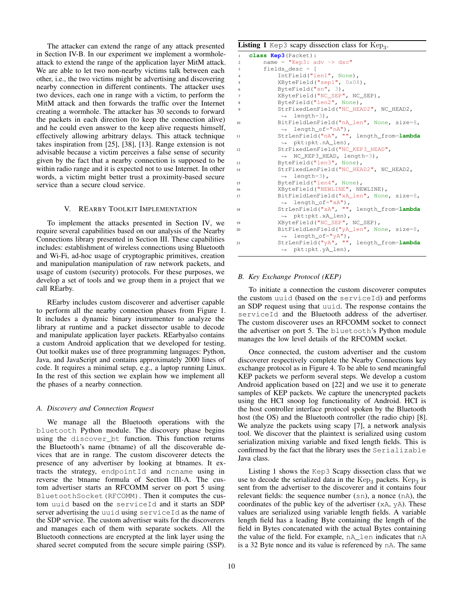The attacker can extend the range of any attack presented in Section IV-B. In our experiment we implement a wormholeattack to extend the range of the application layer MitM attack. We are able to let two non-nearby victims talk between each other, i.e., the two victims might be advertising and discovering nearby connection in different continents. The attacker uses two devices, each one in range with a victim, to perform the MitM attack and then forwards the traffic over the Internet creating a wormhole. The attacker has 30 seconds to forward the packets in each direction (to keep the connection alive) and he could even answer to the keep alive requests himself, effectively allowing arbitrary delays. This attack technique takes inspiration from [25], [38], [13]. Range extension is not advisable because a victim perceives a false sense of security given by the fact that a nearby connection is supposed to be within radio range and it is expected not to use Internet. In other words, a victim might better trust a proximity-based secure service than a secure cloud service.

#### V. REARBY TOOLKIT IMPLEMENTATION

To implement the attacks presented in Section IV, we require several capabilities based on our analysis of the Nearby Connections library presented in Section III. These capabilities includes: establishment of wireless connections using Bluetooth and Wi-Fi, ad-hoc usage of cryptographic primitives, creation and manipulation manipulation of raw network packets, and usage of custom (security) protocols. For these purposes, we develop a set of tools and we group them in a project that we call REarby.

REarby includes custom discoverer and advertiser capable to perform all the nearby connection phases from Figure 1. It includes a dynamic binary instrumenter to analyze the library at runtime and a packet dissector usable to decode and manipulate application layer packets. REarbyalso contains a custom Android application that we developed for testing. Out toolkit makes use of three programming languages: Python, Java, and JavaScript and contains approximately 2000 lines of code. It requires a minimal setup, e.g., a laptop running Linux. In the rest of this section we explain how we implement all the phases of a nearby connection.

#### *A. Discovery and Connection Request*

We manage all the Bluetooth operations with the bluetooth Python module. The discovery phase begins using the discover\_bt function. This function returns the Bluetooth's name (btname) of all the discoverable devices that are in range. The custom discoverer detects the presence of any advertiser by looking at btnames. It extracts the strategy, endpointId and ncname using in reverse the btname formula of Section III-A. The custom advertiser starts an RFCOMM server on port 5 using BluetoothSocket(RFCOMM). Then it computes the custom uuid based on the serviceId and it starts an SDP server advertising the uuid using serviceId as the name of the SDP service. The custom advertiser waits for the discoverers and manages each of them with separate sockets. All the Bluetooth connections are encrypted at the link layer using the shared secret computed from the secure simple pairing (SSP).

# Listing 1 Kep3 scapy dissection class for  $\mathrm{Kep}_3$ .

```
1 class Kep3(Packet):
      name = "Kep3: adv \rightarrow dsc"fields\_desc = [4 IntField("len1", None),
          5 XByteField("sep1", 0x08),
          ByteField("sn", 3),
          7 XByteField("NC_SEP", NC_SEP),
8 ByteField("len2", None),
9 StrFixedLenField("NC_HEAD2", NC_HEAD2,
           ,→ length=3),
10 BitFieldLenField("nA_len", None, size=8,
           ,→ length_of="nA"),
11 StrLenField("nA", "", length_from=lambda
           ,→ pkt:pkt.nA_len),
12 StrFixedLenField("NC_KEP3_HEAD",
           ,→ NC_KEP3_HEAD, length=3),
13 ByteField("len3", None),
14 StrFixedLenField("NC_HEAD2", NC_HEAD2,
           ,→ length=3),
15 ByteField("len4", None),
16 XByteField("NEWLINE", NEWLINE),
17 BitFieldLenField("xA_len", None, size=8,
           \rightarrow length_of="xA"),
18 StrLenField("xA", "", length_from=lambda
           ,→ pkt:pkt.xA_len),
19 XByteField("NC_SEP", NC_SEP),
20 BitFieldLenField("yA_len", None, size=8,
           ,→ length_of="yA"),
21 StrLenField("yA", "", length_from=lambda
           ,→ pkt:pkt.yA_len),
```
# *B. Key Exchange Protocol (KEP)*

To initiate a connection the custom discoverer computes the custom uuid (based on the serviceId) and performs an SDP request using that uuid. The response contains the serviceId and the Bluetooth address of the advertiser. The custom discoverer uses an RFCOMM socket to connect the advertiser on port 5. The bluetooth's Python module manages the low level details of the RFCOMM socket.

Once connected, the custom advertiser and the custom discoverer respectively complete the Nearby Connections key exchange protocol as in Figure 4. To be able to send meaningful KEP packets we perform several steps. We develop a custom Android application based on [22] and we use it to generate samples of KEP packets. We capture the unencrypted packets using the HCI snoop log functionality of Android. HCI is the host controller interface protocol spoken by the Bluetooth host (the OS) and the Bluetooth controller (the radio chip) [8]. We analyze the packets using scapy [7], a network analysis tool. We discover that the plaintext is serialized using custom serialization mixing variable and fixed length fields. This is confirmed by the fact that the library uses the Serializable Java class.

Listing 1 shows the Kep3 Scapy dissection class that we use to decode the serialized data in the  $\rm{Kep}_3$  packets.  $\rm{Kep}_3$  is sent from the advertiser to the discoverer and it contains four relevant fields: the sequence number (sn), a nonce (nA), the coordinates of the public key of the advertiser  $(xA, yA)$ . These values are serialized using variable length fields. A variable length field has a leading Byte containing the length of the field in Bytes concatenated with the actual Bytes containing the value of the field. For example, nA\_len indicates that nA is a 32 Byte nonce and its value is referenced by nA. The same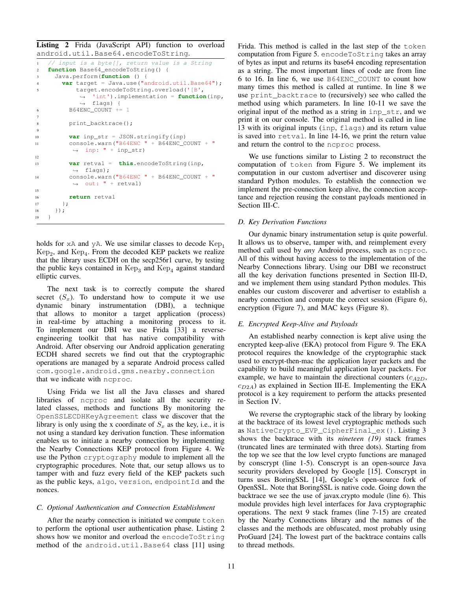Listing 2 Frida (JavaScript API) function to overload android.util.Base64.encodeToString.

```
1 // input is a byte[], return value is a String
2 function Base64_encodeToString() {
     3 Java.perform(function () {
4 var target = Java.use("android.util.Base64");
           5 target.encodeToString.overload('[B',
            → 'int').implementation = function(inp,
            flags) {
,→
6 B64ENC_COUNT += 1
7
8 print_backtrace();
9
10 var inp_str = JSON.stringify(inp)
11 console.warn("B64ENC " + B64ENC_COUNT + "
          \leftrightarrow inp: " + inp_str)
12
13 var retval = this.encodeToString(inp,
          \leftrightarrow flags);
14 console.warn("B64ENC " + B64ENC_COUNT + "
          \leftrightarrow out: " + retval)
15
16 return retval
17 \quad \{\}18 });
19 }
```
holds for  $xA$  and  $yA$ . We use similar classes to decode  $Kep<sub>1</sub>$  $\text{Kep}_2$ , and  $\text{Kep}_4$ . From the decoded KEP packets we realize that the library uses ECDH on the secp256r1 curve, by testing the public keys contained in  $\text{Kep}_3$  and  $\text{Kep}_4$  against standard elliptic curves.

The next task is to correctly compute the shared secret  $(S<sub>x</sub>)$ . To understand how to compute it we use dynamic binary instrumentation (DBI), a technique that allows to monitor a target application (process) in real-time by attaching a monitoring process to it. To implement our DBI we use Frida [33] a reverseengineering toolkit that has native compatibility with Android. After observing our Android application generating ECDH shared secrets we find out that the cryptographic operations are managed by a separate Android process called com.google.android.gms.nearby.connection that we indicate with ncproc.

Using Frida we list all the Java classes and shared libraries of ncproc and isolate all the security related classes, methods and functions By monitoring the OpenSSLECDHKeyAgreement class we discover that the library is only using the x coordinate of  $S_x$  as the key, i.e., it is not using a standard key derivation function. These information enables us to initiate a nearby connection by implementing the Nearby Connections KEP protocol from Figure 4. We use the Python cryptography module to implement all the cryptographic procedures. Note that, our setup allows us to tamper with and fuzz every field of the KEP packets such as the public keys, algo, version, endpointId and the nonces.

# *C. Optional Authentication and Connection Establishment*

After the nearby connection is initiated we compute token to perform the optional user authentication phase. Listing 2 shows how we monitor and overload the encodeToString method of the android.util.Base64 class [11] using Frida. This method is called in the last step of the token computation from Figure 5. encodeToString takes an array of bytes as input and returns its base64 encoding representation as a string. The most important lines of code are from line 6 to 16. In line 6, we use B64ENC\_COUNT to count how many times this method is called at runtime. In line 8 we use print\_backtrace to (recursively) see who called the method using which parameters. In line 10-11 we save the original input of the method as a string in  $inp\_str$ , and we print it on our console. The original method is called in line 13 with its original inputs (inp, flags) and its return value is saved into retval. In line 14-16, we print the return value and return the control to the ncproc process.

We use functions similar to Listing 2 to reconstruct the computation of token from Figure 5. We implement its computation in our custom advertiser and discoverer using standard Python modules. To establish the connection we implement the pre-connection keep alive, the connection acceptance and rejection reusing the constant payloads mentioned in Section III-C.

# *D. Key Derivation Functions*

Our dynamic binary instrumentation setup is quite powerful. It allows us to observe, tamper with, and reimplement every method call used by *any* Android process, such as ncproc. All of this without having access to the implementation of the Nearby Connections library. Using our DBI we reconstruct all the key derivation functions presented in Section III-D, and we implement them using standard Python modules. This enables our custom discoverer and advertiser to establish a nearby connection and compute the correct session (Figure 6), encryption (Figure 7), and MAC keys (Figure 8).

# *E. Encrypted Keep-Alive and Payloads*

An established nearby connection is kept alive using the encrypted keep-alive (EKA) protocol from Figure 9. The EKA protocol requires the knowledge of the cryptographic stack used to encrypt-then-mac the application layer packets and the capability to build meaningful application layer packets. For example, we have to maintain the directional counters  $(c_{A2D},$  $c_{D2A}$ ) as explained in Section III-E. Implementing the EKA protocol is a key requirement to perform the attacks presented in Section IV.

We reverse the cryptographic stack of the library by looking at the backtrace of its lowest level cryptographic methods such as NativeCrypto\_EVP\_CipherFinal\_ex(). Listing 3 shows the backtrace with its *nineteen (19)* stack frames (truncated lines are terminated with three dots). Starting from the top we see that the low level crypto functions are managed by conscrypt (line 1-5). Conscrypt is an open-source Java security providers developed by Google [15]. Conscrypt in turns uses BoringSSL [14], Google's open-source fork of OpenSSL. Note that BoringSSL is native code. Going down the backtrace we see the use of javax.crypto module (line 6). This module provides high level interfaces for Java cryptographic operations. The next 9 stack frames (line 7-15) are created by the Nearby Connections library and the names of the classes and the methods are obfuscated, most probably using ProGuard [24]. The lowest part of the backtrace contains calls to thread methods.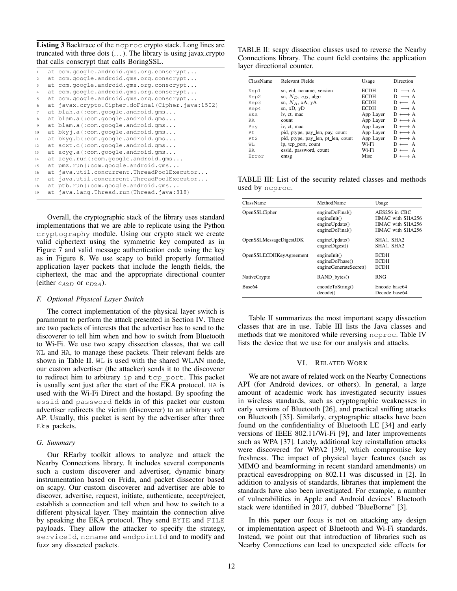Listing 3 Backtrace of the ncproc crypto stack. Long lines are truncated with three dots  $(\ldots)$ . The library is using javax.crypto that calls conscrypt that calls BoringSSL.

| 1              | at com.google.android.gms.org.conscrypt          |
|----------------|--------------------------------------------------|
| 2              | at com.google.android.gms.org.conscrypt          |
| 3              | at com.google.android.gms.org.conscrypt          |
| $\overline{4}$ | at com.google.android.gms.org.conscrypt          |
| 5              | at com.google.android.gms.org.conscrypt          |
| 6              | at javax.crypto.Cipher.doFinal(Cipher.java:1502) |
| 7              | at blah.a(:com.google.android.gms                |
| 8              | at blam.a(:com.google.android.gms                |
| 9              | at blam.a(:com.google.android.gms                |
| 10             | at bkyj.a(:com.google.android.gms                |
| 11             | at bkyq.b(:com.google.android.gms                |
| 12             | at acxt.c(:com.google.android.gms                |
| 13             | at acyq.a(:com.google.android.gms                |
| 14             | at acyd.run(:com.google.android.gms              |
| 15             | at pmz.run(:com.google.android.gms               |
| 16             | at java.util.concurrent.ThreadPoolExecutor       |
| 17             | at java.util.concurrent.ThreadPoolExecutor       |
| 18             | at ptb.run(:com.google.android.gms               |
| 19             | at java.lang.Thread.run(Thread.java:818)         |

Overall, the cryptographic stack of the library uses standard implementations that we are able to replicate using the Python cryptography module. Using our crypto stack we create valid ciphertext using the symmetric key computed as in Figure 7 and valid message authentication code using the key as in Figure 8. We use scapy to build properly formatted application layer packets that include the length fields, the ciphertext, the mac and the appropriate directional counter (either  $c_{A2D}$  or  $c_{D2A}$ ).

#### *F. Optional Physical Layer Switch*

The correct implementation of the physical layer switch is paramount to perform the attack presented in Section IV. There are two packets of interests that the advertiser has to send to the discoverer to tell him when and how to switch from Bluetooth to Wi-Fi. We use two scapy dissection classes, that we call WL and HA, to manage these packets. Their relevant fields are shown in Table II. WL is used with the shared WLAN mode, our custom advertiser (the attacker) sends it to the discoverer to redirect him to arbitrary ip and tcp\_port. This packet is usually sent just after the start of the EKA protocol. HA is used with the Wi-Fi Direct and the hostapd. By spoofing the essid and password fields in of this packet our custom advertiser redirects the victim (discoverer) to an arbitrary soft AP. Usually, this packet is sent by the advertiser after three Eka packets.

#### *G. Summary*

Our REarby toolkit allows to analyze and attack the Nearby Connections library. It includes several components such a custom discoverer and advertiser, dynamic binary instrumentation based on Frida, and packet dissector based on scapy. Our custom discoverer and advertiser are able to discover, advertise, request, initiate, authenticate, accept/reject, establish a connection and tell when and how to switch to a different physical layer. They maintain the connection alive by speaking the EKA protocol. They send BYTE and FILE payloads. They allow the attacker to specify the strategy, serviceId, ncname and endpointId and to modify and fuzz any dissected packets.

TABLE II: scapy dissection classes used to reverse the Nearby Connections library. The count field contains the application layer directional counter.

| ClassName | Relevant Fields                    | Usage       | Direction             |
|-----------|------------------------------------|-------------|-----------------------|
| Kep1      | sn, eid, ncname, version           | <b>ECDH</b> | $D \longrightarrow A$ |
| Kep2      | sn, $N_D$ , $c_D$ , algo           | <b>ECDH</b> | $D \longrightarrow A$ |
| Kep3      | sn, $N_A$ , xA, yA                 | <b>ECDH</b> | $D \leftarrow A$      |
| Kep4      | sn, $xD$ , $yD$                    | <b>ECDH</b> | $D \longrightarrow A$ |
| Eka       | iv, ct, mac                        | App Layer   | $D \leftrightarrow A$ |
| КA        | count                              | App Layer   | $D \leftrightarrow A$ |
| Pay       | iv, ct, mac                        | App Layer   | $D \leftrightarrow A$ |
| Pt.       | pid, ptype, pay_len, pay, count    | App Layer   | $D \leftrightarrow A$ |
| Pt.2      | pid, ptype, pay_len, pt_len, count | App Layer   | $D \leftrightarrow A$ |
| WT.       | ip, tcp port, count                | Wi-Fi       | $D \leftarrow A$      |
| ΗA        | essid, password, count             | Wi-Fi       | $D \leftarrow A$      |
| Error     | emsg                               | Misc        | $D \leftrightarrow A$ |

TABLE III: List of the security related classes and methods used by ncproc.

| ClassName               | MethodName                                                           | Usage                                                                     |
|-------------------------|----------------------------------------------------------------------|---------------------------------------------------------------------------|
| OpenSSLCipher           | engineDoFinal()<br>engineInit()<br>engineUpdate()<br>engineDoFinal() | AES256 in CBC<br>HMAC with SHA256<br>HMAC with SHA256<br>HMAC with SHA256 |
| OpenSSLMessageDigestJDK | engineUpdate()<br>engine Digest()                                    | SHA1, SHA2<br>SHA1, SHA2                                                  |
| OpenSSLECDHKeyAgreement | engineInit()<br>engineDoPhase()<br>engineGenerateSecret()            | <b>ECDH</b><br><b>ECDH</b><br><b>ECDH</b>                                 |
| NativeCrypto            | $RAND$ bytes $()$                                                    | <b>RNG</b>                                                                |
| Base <sub>64</sub>      | encodeToString()<br>decode()                                         | Encode base64<br>Decode base64                                            |

Table II summarizes the most important scapy dissection classes that are in use. Table III lists the Java classes and methods that we monitored while reversing ncproc. Table IV lists the device that we use for our analysis and attacks.

#### VI. RELATED WORK

We are not aware of related work on the Nearby Connections API (for Android devices, or others). In general, a large amount of academic work has investigated security issues in wireless standards, such as cryptographic weaknesses in early versions of Bluetooth [26], and practical sniffing attacks on Bluetooth [35]. Similarly, cryptographic attacks have been found on the confidentiality of Bluetooth LE [34] and early versions of IEEE 802.11/Wi-Fi [9], and later improvements such as WPA [37]. Lately, additional key reinstallation attacks were discovered for WPA2 [39], which compromise key freshness. The impact of physical layer features (such as MIMO and beamforming in recent standard amendments) on practical eavesdropping on 802.11 was discussed in [2]. In addition to analysis of standards, libraries that implement the standards have also been investigated. For example, a number of vulnerabilities in Apple and Android devices' Bluetooth stack were identified in 2017, dubbed "BlueBorne" [3].

In this paper our focus is not on attacking any design or implementation aspect of Bluetooth and Wi-Fi standards. Instead, we point out that introduction of libraries such as Nearby Connections can lead to unexpected side effects for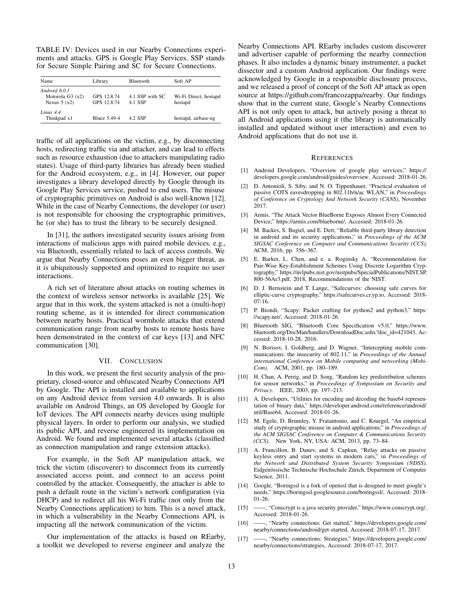TABLE IV: Devices used in our Nearby Connections experiments and attacks. GPS is Google Play Services. SSP stands for Secure Simple Pairing and SC for Secure Connections.

| Name                                                | Library                    | <b>Bluetooth</b>           | Soft AP                          |
|-----------------------------------------------------|----------------------------|----------------------------|----------------------------------|
| Android 6.0.1<br>Motorola $G3(x2)$<br>Nexus $5(x2)$ | GPS 12.8.74<br>GPS 12.8.74 | 4.1 SSP with SC<br>4.1 SSP | Wi-Fi Direct, hostapd<br>hostapd |
| $I$ inux 44<br>Thinkpad x1                          | <b>Bluez</b> 5.49-4        | 4.2 SSP                    | hostapd, airbase-ng              |

traffic of all applications on the victim, e.g., by disconnecting hosts, redirecting traffic via and attacker, and can lead to effects such as resource exhaustion (due to attackers manipulating radio states). Usage of third-party libraries has already been studied for the Android ecosystem, e.g., in [4]. However, our paper investigates a library developed directly by Google through its Google Play Services service, pushed to end users. The misuse of cryptographic primitives on Android is also well-known [12]. While in the case of Nearby Connections, the developer (or user) is not responsible for choosing the cryptographic primitives, he (or she) has to trust the library to be securely designed.

In [31], the authors investigated security issues arising from interactions of malicious apps with paired mobile devices, e.g., via Bluetooth, essentially related to lack of access controls. We argue that Nearby Connections poses an even bigger threat, as it is ubiquitously supported and optimized to require no user interactions.

A rich set of literature about attacks on routing schemes in the context of wireless sensor networks is available [25]. We argue that in this work, the system attacked is not a (multi-hop) routing scheme, as it is intended for direct communication between nearby hosts. Practical wormhole attacks that extend communication range from nearby hosts to remote hosts have been demonstrated in the context of car keys [13] and NFC communication [30].

#### VII. CONCLUSION

In this work, we present the first security analysis of the proprietary, closed-source and obfuscated Nearby Connections API by Google. The API is installed and available to applications on any Android device from version 4.0 onwards. It is also available on Android Things, an OS developed by Google for IoT devices. The API connects nearby devices using multiple physical layers. In order to perform our analysis, we studied its public API, and reverse engineered its implementation on Android. We found and implemented several attacks (classified as connection manipulation and range extension attacks).

For example, in the Soft AP manipulation attack, we trick the victim (discoverer) to disconnect from its currently associated access point, and connect to an access point controlled by the attacker. Consequently, the attacker is able to push a default route in the victim's network configuration (via DHCP) and to redirect all his Wi-Fi traffic (not only from the Nearby Connections application) to him. This is a novel attack, in which a vulnerability in the Nearby Connections API, is impacting all the network communication of the victim.

Our implementation of the attacks is based on REarby, a toolkit we developed to reverse engineer and analyze the Nearby Connections API. REarby includes custom discoverer and advertiser capable of performing the nearby connection phases. It also includes a dynamic binary instrumenter, a packet dissector and a custom Android application. Our findings were acknowledged by Google in a responsible disclosure process, and we released a proof of concept of the Soft AP attack as open source at https://github.com/francozappa/rearby. Our findings show that in the current state, Google's Nearby Connections API is not only open to attack, but actively posing a threat to all Android applications using it (the library is automatically installed and updated without user interaction) and even to Android applications that do not use it.

#### **REFERENCES**

- [1] Android Developers, "Overview of google play services," https:// developers.google.com/android/guides/overview, Accessed: 2018-01-26.
- [2] D. Antonioli, S. Siby, and N. O. Tippenhauer, "Practical evaluation of passive COTS eavesdropping in 802.11b/n/ac WLAN," in *Proceedings of Conference on Cryptology And Network Security (CANS)*, November 2017.
- [3] Armis, "The Attack Vector BlueBorne Exposes Almost Every Connected Device," https://armis.com/blueborne/, Accessed: 2018-01-26.
- [4] M. Backes, S. Bugiel, and E. Derr, "Reliable third-party library detection in android and its security applications," in *Proceedings of the ACM SIGSAC Conference on Computer and Communications Security (CCS)*. ACM, 2016, pp. 356–367.
- [5] E. Barker, L. Chen, and e. a. Roginsky A, "Recommendation for Pair-Wise Key-Establishment Schemes Using Discrete Logarithm Cryptography," https://nvlpubs.nist.gov/nistpubs/SpecialPublications/NIST.SP. 800-56Ar3.pdf, 2018, Recommendations of the NIST.
- [6] D. J. Bernstein and T. Lange, "Safecurves: choosing safe curves for elliptic-curve cryptography," https://safecurves.cr.yp.to, Accessed: 2018- 07-16.
- [7] P. Biondi, "Scapy: Packet crafting for python2 and python3," https: //scapy.net/, Accessed: 2018-01-26.
- [8] Bluetooth SIG, "Bluetooth Core Specification v5.0," https://www. bluetooth.org/DocMan/handlers/DownloadDoc.ashx?doc\_id=421043, Accessed: 2018-10-28, 2016.
- [9] N. Borisov, I. Goldberg, and D. Wagner, "Intercepting mobile communications: the insecurity of 802.11," in *Proceedings of the Annual international Conference on Mobile computing and networking (Mobi-Com)*. ACM, 2001, pp. 180–189.
- [10] H. Chan, A. Perrig, and D. Song, "Random key predistribution schemes for sensor networks," in *Proceedings of Symposium on Security and Privacy*. IEEE, 2003, pp. 197–213.
- [11] A. Developers, "Utilities for encoding and decoding the base64 representation of binary data," https://developer.android.com/reference/android/ util/Base64, Accessed: 2018-01-26.
- [12] M. Egele, D. Brumley, Y. Fratantonio, and C. Kruegel, "An empirical study of cryptographic misuse in android applications," in *Proceedings of the ACM SIGSAC Conference on Computer & Communications Security (CCS)*. New York, NY, USA: ACM, 2013, pp. 73–84.
- [13] A. Francillon, B. Danev, and S. Capkun, "Relay attacks on passive keyless entry and start systems in modern cars," in *Proceedings of the Network and Distributed System Security Symposium (NDSS)*. Eidgenössische Technische Hochschule Zürich, Department of Computer Science, 2011.
- [14] Google, "Boringssl is a fork of openssl that is designed to meet google's needs." https://boringssl.googlesource.com/boringssl/, Accessed: 2018- 01-26.
- [15] ——, "Conscrypt is a java security provider," https://www.conscrypt.org/, Accessed: 2018-01-26.
- [16] ——, "Nearby connections: Get started," https://developers.google.com/ nearby/connections/android/get-started, Accessed: 2018-07-17, 2017.
- [17] ——, "Nearby connections: Strategies," https://developers.google.com/ nearby/connections/strategies, Accessed: 2018-07-17, 2017.